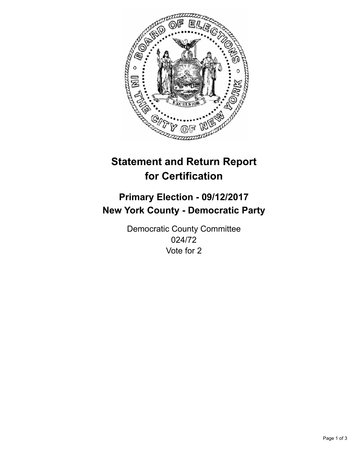

## **Statement and Return Report for Certification**

## **Primary Election - 09/12/2017 New York County - Democratic Party**

Democratic County Committee 024/72 Vote for 2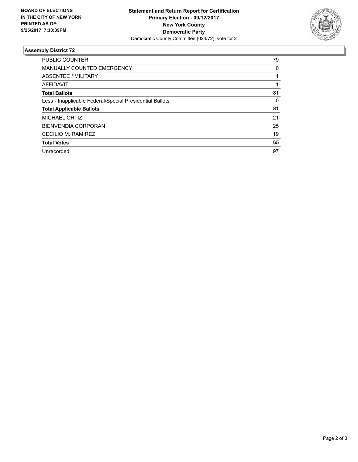

## **Assembly District 72**

| <b>PUBLIC COUNTER</b>                                    | 79 |
|----------------------------------------------------------|----|
| <b>MANUALLY COUNTED EMERGENCY</b>                        | 0  |
| ABSENTEE / MILITARY                                      |    |
| AFFIDAVIT                                                |    |
| <b>Total Ballots</b>                                     | 81 |
| Less - Inapplicable Federal/Special Presidential Ballots | 0  |
| <b>Total Applicable Ballots</b>                          | 81 |
| <b>MICHAEL ORTIZ</b>                                     | 21 |
| <b>BIENVENDIA CORPORAN</b>                               | 25 |
| CECILIO M. RAMIREZ                                       | 19 |
| <b>Total Votes</b>                                       | 65 |
| Unrecorded                                               | 97 |